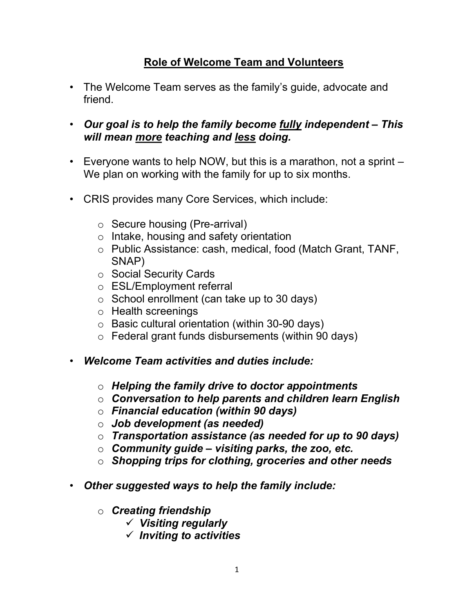## Role of Welcome Team and Volunteers

- The Welcome Team serves as the family's guide, advocate and friend.
- Our goal is to help the family become fully independent This will mean more teaching and less doing.
- Everyone wants to help NOW, but this is a marathon, not a sprint We plan on working with the family for up to six months.
- CRIS provides many Core Services, which include:
	- o Secure housing (Pre-arrival)
	- o Intake, housing and safety orientation
	- o Public Assistance: cash, medical, food (Match Grant, TANF, SNAP)
	- o Social Security Cards
	- o ESL/Employment referral
	- o School enrollment (can take up to 30 days)
	- o Health screenings
	- o Basic cultural orientation (within 30-90 days)
	- $\circ$  Federal grant funds disbursements (within 90 days)
- Welcome Team activities and duties include:
	- $\circ$  Helping the family drive to doctor appointments
	- $\circ$  Conversation to help parents and children learn English
	- $\circ$  Financial education (within 90 days)
	- $\circ$  Job development (as needed)
	- $\circ$  Transportation assistance (as needed for up to 90 days)
	- $\circ$  Community quide visiting parks, the zoo, etc.
	- $\circ$  Shopping trips for clothing, groceries and other needs
- Other suggested ways to help the family include:
	- o Creating friendship
		- $\checkmark$  Visiting regularly
		- $\checkmark$  Inviting to activities